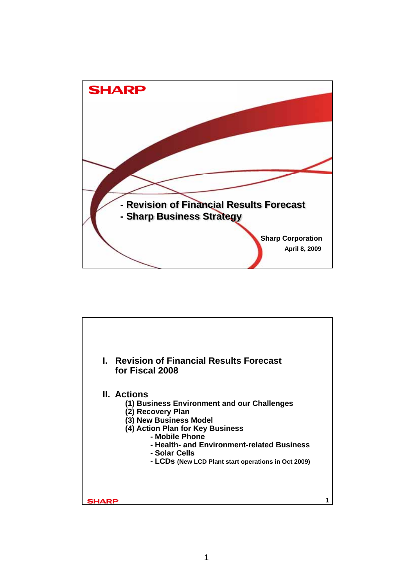

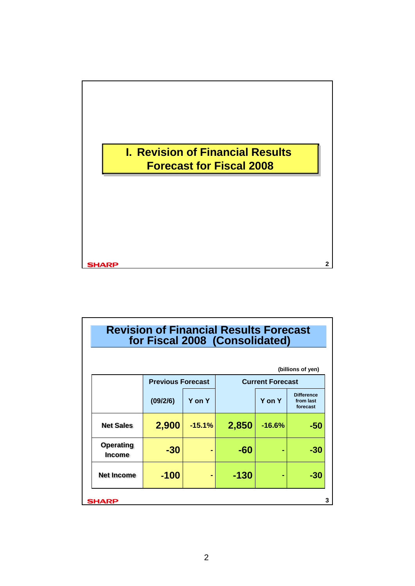

| <b>Revision of Financial Results Forecast</b><br>for Fiscal 2008 (Consolidated) |                          |          |        |                         |                                            |  |
|---------------------------------------------------------------------------------|--------------------------|----------|--------|-------------------------|--------------------------------------------|--|
|                                                                                 |                          |          |        |                         | (billions of yen)                          |  |
|                                                                                 | <b>Previous Forecast</b> |          |        | <b>Current Forecast</b> |                                            |  |
|                                                                                 | (09/2/6)                 | Y on Y   |        | Y on Y                  | <b>Difference</b><br>from last<br>forecast |  |
| <b>Net Sales</b>                                                                | 2,900                    | $-15.1%$ | 2,850  | $-16.6%$                | -50                                        |  |
| <b>Operating</b><br><b>Income</b>                                               | $-30$                    |          | -60    |                         | -30                                        |  |
| <b>Net Income</b>                                                               | $-100$                   |          | $-130$ |                         | -30                                        |  |
| SHARP                                                                           |                          |          |        |                         |                                            |  |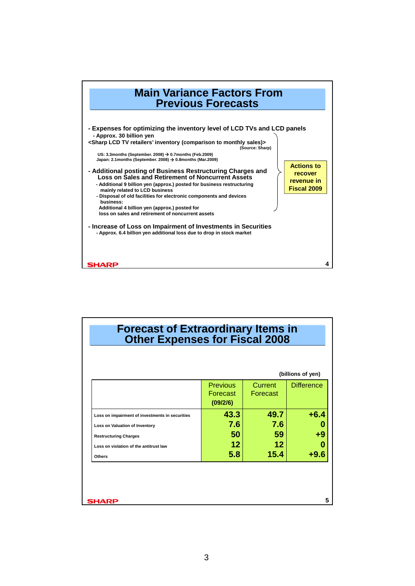

|                                                 |                                         |                     | (billions of yen) |
|-------------------------------------------------|-----------------------------------------|---------------------|-------------------|
|                                                 | <b>Previous</b><br>Forecast<br>(09/2/6) | Current<br>Forecast | <b>Difference</b> |
| Loss on impairment of investments in securities | 43.3                                    | 49.7                | $+6.4$            |
| Loss on Valuation of Inventory                  | 7.6                                     | 7.6                 | 0                 |
| <b>Restructuring Charges</b>                    | 50                                      | 59                  | +9                |
| Loss on violation of the antitrust law          | $12 \,$                                 | 12 <sub>2</sub>     | Ω                 |
| <b>Others</b>                                   | 5.8                                     | 15.4                | $+9.6$            |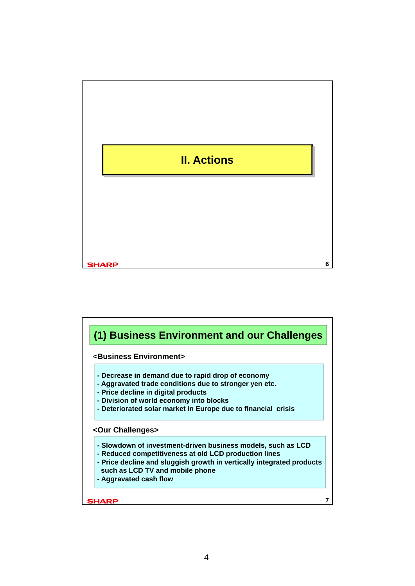

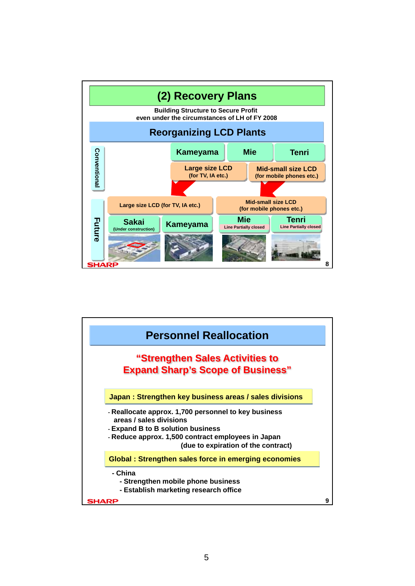

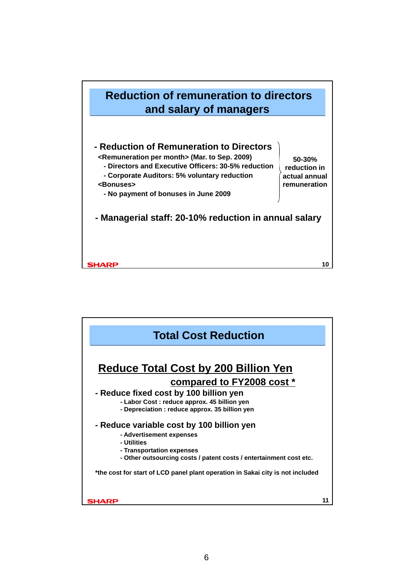

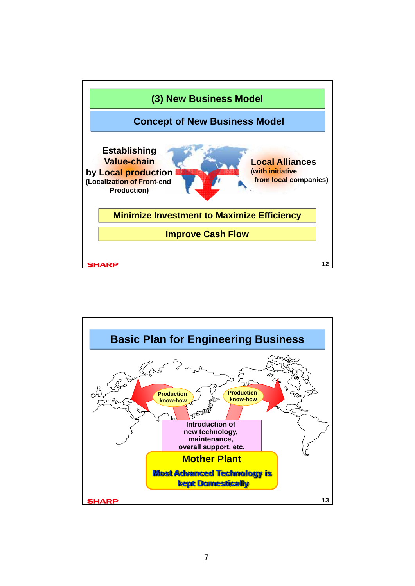

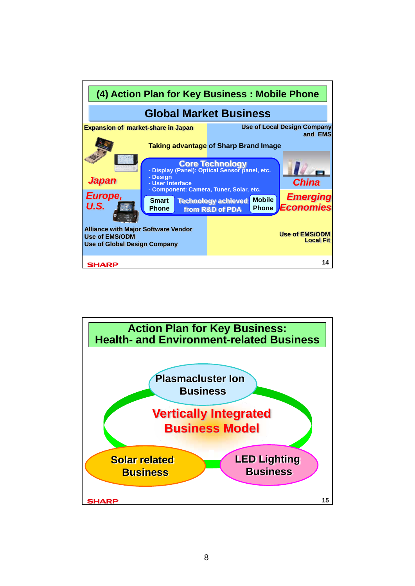

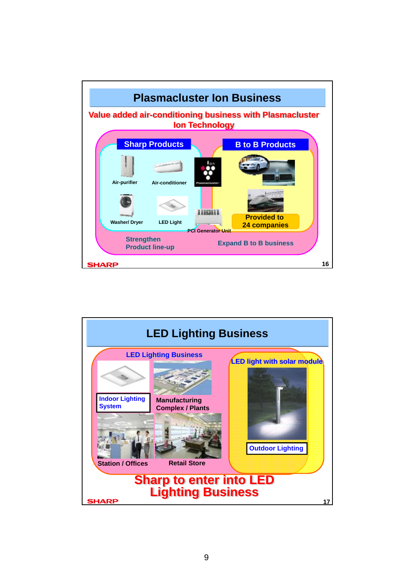

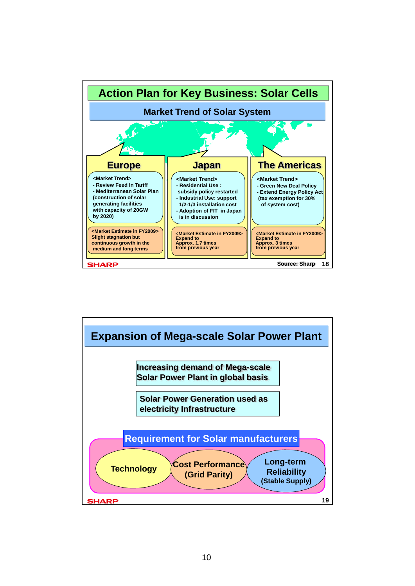

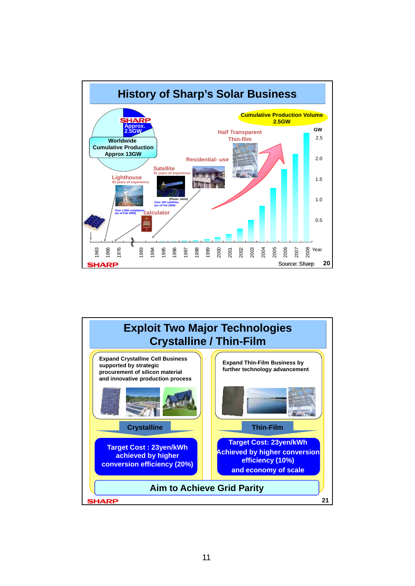

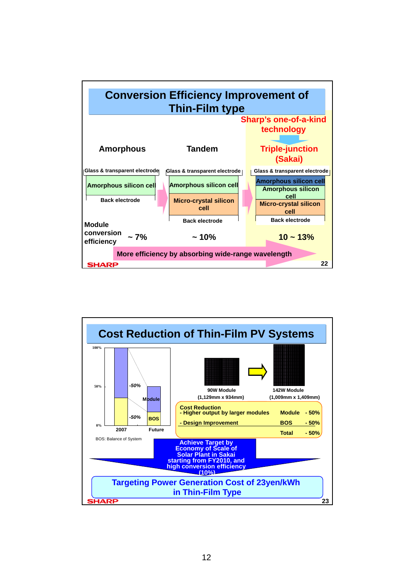